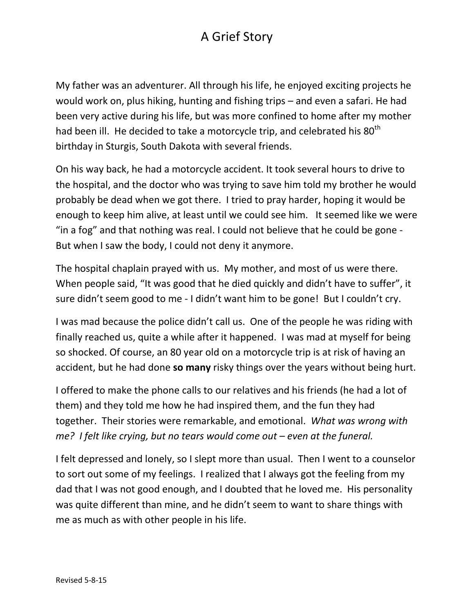## A Grief Story

My father was an adventurer. All through his life, he enjoyed exciting projects he would work on, plus hiking, hunting and fishing trips – and even a safari. He had been very active during his life, but was more confined to home after my mother had been ill. He decided to take a motorcycle trip, and celebrated his 80<sup>th</sup> birthday in Sturgis, South Dakota with several friends.

On his way back, he had a motorcycle accident. It took several hours to drive to the hospital, and the doctor who was trying to save him told my brother he would probably be dead when we got there. I tried to pray harder, hoping it would be enough to keep him alive, at least until we could see him. It seemed like we were "in a fog" and that nothing was real. I could not believe that he could be gone - But when I saw the body, I could not deny it anymore.

The hospital chaplain prayed with us. My mother, and most of us were there. When people said, "It was good that he died quickly and didn't have to suffer", it sure didn't seem good to me - I didn't want him to be gone! But I couldn't cry.

I was mad because the police didn't call us. One of the people he was riding with finally reached us, quite a while after it happened. I was mad at myself for being so shocked. Of course, an 80 year old on a motorcycle trip is at risk of having an accident, but he had done **so many** risky things over the years without being hurt.

I offered to make the phone calls to our relatives and his friends (he had a lot of them) and they told me how he had inspired them, and the fun they had together. Their stories were remarkable, and emotional. *What was wrong with me? I felt like crying, but no tears would come out – even at the funeral.* 

I felt depressed and lonely, so I slept more than usual. Then I went to a counselor to sort out some of my feelings. I realized that I always got the feeling from my dad that I was not good enough, and I doubted that he loved me. His personality was quite different than mine, and he didn't seem to want to share things with me as much as with other people in his life.